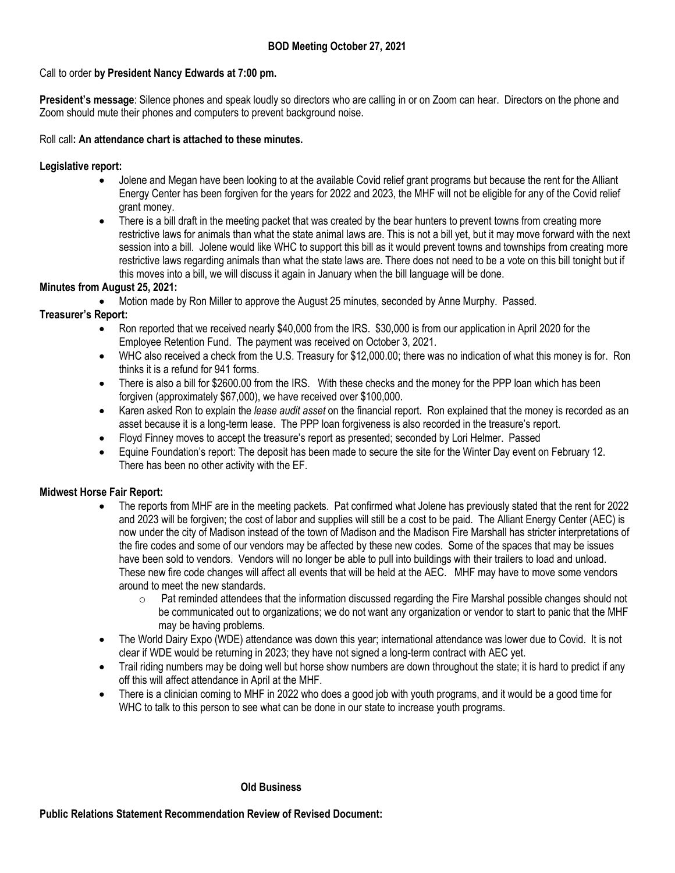## **BOD Meeting October 27, 2021**

## Call to order **by President Nancy Edwards at 7:00 pm.**

**President's message**: Silence phones and speak loudly so directors who are calling in or on Zoom can hear. Directors on the phone and Zoom should mute their phones and computers to prevent background noise.

## Roll call**: An attendance chart is attached to these minutes.**

## **Legislative report:**

- Jolene and Megan have been looking to at the available Covid relief grant programs but because the rent for the Alliant Energy Center has been forgiven for the years for 2022 and 2023, the MHF will not be eligible for any of the Covid relief grant money.
- There is a bill draft in the meeting packet that was created by the bear hunters to prevent towns from creating more restrictive laws for animals than what the state animal laws are. This is not a bill yet, but it may move forward with the next session into a bill. Jolene would like WHC to support this bill as it would prevent towns and townships from creating more restrictive laws regarding animals than what the state laws are. There does not need to be a vote on this bill tonight but if this moves into a bill, we will discuss it again in January when the bill language will be done.

## **Minutes from August 25, 2021:**

• Motion made by Ron Miller to approve the August 25 minutes, seconded by Anne Murphy. Passed.

## **Treasurer's Report:**

- Ron reported that we received nearly \$40,000 from the IRS. \$30,000 is from our application in April 2020 for the Employee Retention Fund. The payment was received on October 3, 2021.
- WHC also received a check from the U.S. Treasury for \$12,000.00; there was no indication of what this money is for. Ron thinks it is a refund for 941 forms.
- There is also a bill for \$2600.00 from the IRS. With these checks and the money for the PPP loan which has been forgiven (approximately \$67,000), we have received over \$100,000.
- Karen asked Ron to explain the *lease audit asset* on the financial report. Ron explained that the money is recorded as an asset because it is a long-term lease. The PPP loan forgiveness is also recorded in the treasure's report.
- Floyd Finney moves to accept the treasure's report as presented; seconded by Lori Helmer. Passed
- Equine Foundation's report: The deposit has been made to secure the site for the Winter Day event on February 12. There has been no other activity with the EF.

## **Midwest Horse Fair Report:**

- The reports from MHF are in the meeting packets. Pat confirmed what Jolene has previously stated that the rent for 2022 and 2023 will be forgiven; the cost of labor and supplies will still be a cost to be paid. The Alliant Energy Center (AEC) is now under the city of Madison instead of the town of Madison and the Madison Fire Marshall has stricter interpretations of the fire codes and some of our vendors may be affected by these new codes. Some of the spaces that may be issues have been sold to vendors. Vendors will no longer be able to pull into buildings with their trailers to load and unload. These new fire code changes will affect all events that will be held at the AEC. MHF may have to move some vendors around to meet the new standards.
	- $\circ$  Pat reminded attendees that the information discussed regarding the Fire Marshal possible changes should not be communicated out to organizations; we do not want any organization or vendor to start to panic that the MHF may be having problems.
- The World Dairy Expo (WDE) attendance was down this year; international attendance was lower due to Covid. It is not clear if WDE would be returning in 2023; they have not signed a long-term contract with AEC yet.
- Trail riding numbers may be doing well but horse show numbers are down throughout the state; it is hard to predict if any off this will affect attendance in April at the MHF.
- There is a clinician coming to MHF in 2022 who does a good job with youth programs, and it would be a good time for WHC to talk to this person to see what can be done in our state to increase youth programs.

#### **Old Business**